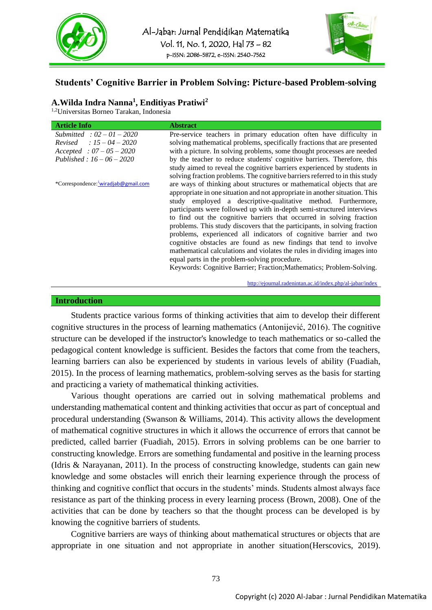



# **Students' Cognitive Barrier in Problem Solving: Picture-based Problem-solving**

# **A.Wilda Indra Nanna<sup>1</sup> , Enditiyas Pratiwi<sup>2</sup>**

1,2Universitas Borneo Tarakan, Indonesia

| <b>Article Info</b>                 | <b>Abstract</b>                                                             |
|-------------------------------------|-----------------------------------------------------------------------------|
| Submitted: $02 - 01 - 2020$         | Pre-service teachers in primary education often have difficulty in          |
| <i>Revised</i> : $15 - 04 - 2020$   | solving mathematical problems, specifically fractions that are presented    |
| $Accepted : 07 - 05 - 2020$         | with a picture. In solving problems, some thought processes are needed      |
| Published: $16 - 06 - 2020$         | by the teacher to reduce students' cognitive barriers. Therefore, this      |
|                                     | study aimed to reveal the cognitive barriers experienced by students in     |
|                                     | solving fraction problems. The cognitive barriers referred to in this study |
| *Correspondence: wiradjab@gmail.com | are ways of thinking about structures or mathematical objects that are      |
|                                     | appropriate in one situation and not appropriate in another situation. This |
|                                     | study employed a descriptive-qualitative method. Furthermore,               |
|                                     | participants were followed up with in-depth semi-structured interviews      |
|                                     | to find out the cognitive barriers that occurred in solving fraction        |
|                                     | problems. This study discovers that the participants, in solving fraction   |
|                                     | problems, experienced all indicators of cognitive barrier and two           |
|                                     | cognitive obstacles are found as new findings that tend to involve          |
|                                     | mathematical calculations and violates the rules in dividing images into    |
|                                     | equal parts in the problem-solving procedure.                               |
|                                     | Keywords: Cognitive Barrier; Fraction; Mathematics; Problem-Solving.        |

<http://ejournal.radenintan.ac.id/index.php/al-jabar/index>.

#### **Introduction**

Students practice various forms of thinking activities that aim to develop their different cognitive structures in the process of learning mathematics (Antonijević, 2016). The cognitive structure can be developed if the instructor's knowledge to teach mathematics or so-called the pedagogical content knowledge is sufficient. Besides the factors that come from the teachers, learning barriers can also be experienced by students in various levels of ability (Fuadiah, 2015). In the process of learning mathematics, problem-solving serves as the basis for starting and practicing a variety of mathematical thinking activities.

Various thought operations are carried out in solving mathematical problems and understanding mathematical content and thinking activities that occur as part of conceptual and procedural understanding (Swanson & Williams, 2014). This activity allows the development of mathematical cognitive structures in which it allows the occurrence of errors that cannot be predicted, called barrier (Fuadiah, 2015). Errors in solving problems can be one barrier to constructing knowledge. Errors are something fundamental and positive in the learning process (Idris & Narayanan, 2011). In the process of constructing knowledge, students can gain new knowledge and some obstacles will enrich their learning experience through the process of thinking and cognitive conflict that occurs in the students' minds. Students almost always face resistance as part of the thinking process in every learning process (Brown, 2008). One of the activities that can be done by teachers so that the thought process can be developed is by knowing the cognitive barriers of students.

Cognitive barriers are ways of thinking about mathematical structures or objects that are appropriate in one situation and not appropriate in another situation(Herscovics, 2019).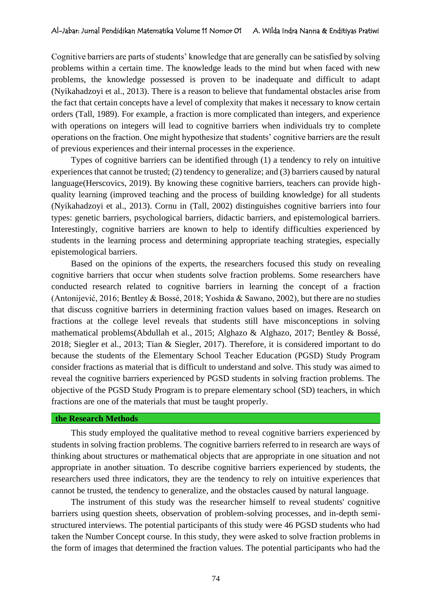Cognitive barriers are parts of students' knowledge that are generally can be satisfied by solving problems within a certain time. The knowledge leads to the mind but when faced with new problems, the knowledge possessed is proven to be inadequate and difficult to adapt (Nyikahadzoyi et al., 2013). There is a reason to believe that fundamental obstacles arise from the fact that certain concepts have a level of complexity that makes it necessary to know certain orders (Tall, 1989). For example, a fraction is more complicated than integers, and experience with operations on integers will lead to cognitive barriers when individuals try to complete operations on the fraction. One might hypothesize that students' cognitive barriers are the result of previous experiences and their internal processes in the experience.

Types of cognitive barriers can be identified through (1) a tendency to rely on intuitive experiences that cannot be trusted; (2) tendency to generalize; and (3) barriers caused by natural language(Herscovics, 2019). By knowing these cognitive barriers, teachers can provide highquality learning (improved teaching and the process of building knowledge) for all students (Nyikahadzoyi et al., 2013). Cornu in (Tall, 2002) distinguishes cognitive barriers into four types: genetic barriers, psychological barriers, didactic barriers, and epistemological barriers. Interestingly, cognitive barriers are known to help to identify difficulties experienced by students in the learning process and determining appropriate teaching strategies, especially epistemological barriers.

Based on the opinions of the experts, the researchers focused this study on revealing cognitive barriers that occur when students solve fraction problems. Some researchers have conducted research related to cognitive barriers in learning the concept of a fraction (Antonijević, 2016; Bentley & Bossé, 2018; Yoshida & Sawano, 2002), but there are no studies that discuss cognitive barriers in determining fraction values based on images. Research on fractions at the college level reveals that students still have misconceptions in solving mathematical problems(Abdullah et al., 2015; Alghazo & Alghazo, 2017; Bentley & Bossé, 2018; Siegler et al., 2013; Tian & Siegler, 2017). Therefore, it is considered important to do because the students of the Elementary School Teacher Education (PGSD) Study Program consider fractions as material that is difficult to understand and solve. This study was aimed to reveal the cognitive barriers experienced by PGSD students in solving fraction problems. The objective of the PGSD Study Program is to prepare elementary school (SD) teachers, in which fractions are one of the materials that must be taught properly.

## **the Research Methods**

This study employed the qualitative method to reveal cognitive barriers experienced by students in solving fraction problems. The cognitive barriers referred to in research are ways of thinking about structures or mathematical objects that are appropriate in one situation and not appropriate in another situation. To describe cognitive barriers experienced by students, the researchers used three indicators, they are the tendency to rely on intuitive experiences that cannot be trusted, the tendency to generalize, and the obstacles caused by natural language.

The instrument of this study was the researcher himself to reveal students' cognitive barriers using question sheets, observation of problem-solving processes, and in-depth semistructured interviews. The potential participants of this study were 46 PGSD students who had taken the Number Concept course. In this study, they were asked to solve fraction problems in the form of images that determined the fraction values. The potential participants who had the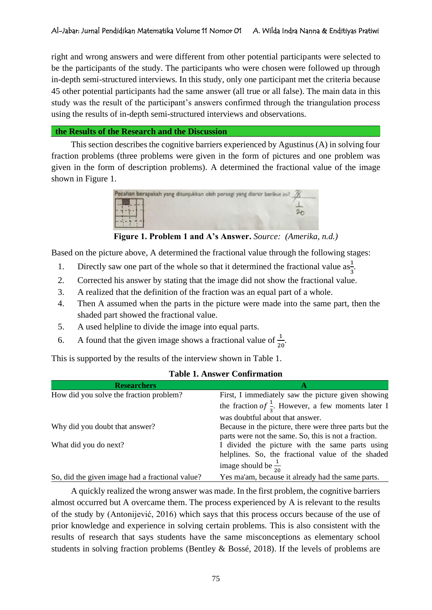right and wrong answers and were different from other potential participants were selected to be the participants of the study. The participants who were chosen were followed up through in-depth semi-structured interviews. In this study, only one participant met the criteria because 45 other potential participants had the same answer (all true or all false). The main data in this study was the result of the participant's answers confirmed through the triangulation process using the results of in-depth semi-structured interviews and observations.

**the Results of the Research and the Discussion**

This section describes the cognitive barriers experienced by Agustinus (A) in solving four fraction problems (three problems were given in the form of pictures and one problem was given in the form of description problems). A determined the fractional value of the image shown in Figure 1.



**Figure 1. Problem 1 and A's Answer.** *Source: (Amerika, n.d.)*

Based on the picture above, A determined the fractional value through the following stages:

- 1. Directly saw one part of the whole so that it determined the fractional value  $as\frac{1}{3}$ .
- 2. Corrected his answer by stating that the image did not show the fractional value.
- 3. A realized that the definition of the fraction was an equal part of a whole.
- 4. Then A assumed when the parts in the picture were made into the same part, then the shaded part showed the fractional value.
- 5. A used helpline to divide the image into equal parts.
- 6. A found that the given image shows a fractional value of  $\frac{1}{20}$ .

This is supported by the results of the interview shown in Table 1.

| <b>Researchers</b>                              | A                                                              |
|-------------------------------------------------|----------------------------------------------------------------|
| How did you solve the fraction problem?         | First, I immediately saw the picture given showing             |
|                                                 | the fraction of $\frac{1}{2}$ . However, a few moments later I |
|                                                 | was doubtful about that answer.                                |
| Why did you doubt that answer?                  | Because in the picture, there were three parts but the         |
|                                                 | parts were not the same. So, this is not a fraction.           |
| What did you do next?                           | I divided the picture with the same parts using                |
|                                                 | helplines. So, the fractional value of the shaded              |
|                                                 | image should be $\frac{1}{20}$                                 |
| So, did the given image had a fractional value? | Yes ma'am, because it already had the same parts.              |

## **Table 1. Answer Confirmation**

A quickly realized the wrong answer was made. In the first problem, the cognitive barriers almost occurred but A overcame them. The process experienced by A is relevant to the results of the study by (Antonijević, 2016) which says that this process occurs because of the use of prior knowledge and experience in solving certain problems. This is also consistent with the results of research that says students have the same misconceptions as elementary school students in solving fraction problems (Bentley & Bossé, 2018). If the levels of problems are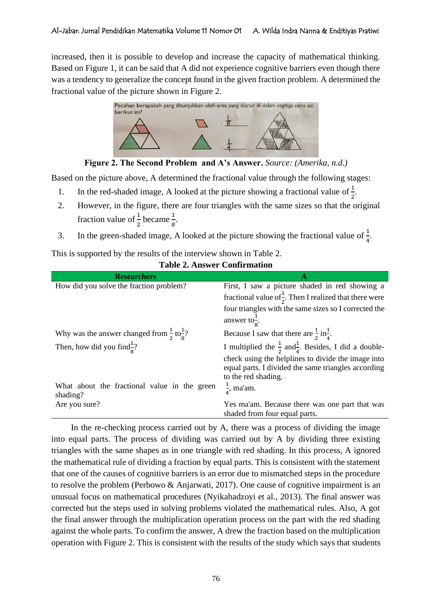increased, then it is possible to develop and increase the capacity of mathematical thinking. Based on Figure 1, it can be said that A did not experience cognitive barriers even though there was a tendency to generalize the concept found in the given fraction problem. A determined the fractional value of the picture shown in Figure 2.



**Figure 2. The Second Problem and A's Answer.** *Source: (Amerika, n.d.)*

Based on the picture above, A determined the fractional value through the following stages:

- 1. In the red-shaded image, A looked at the picture showing a fractional value of  $\frac{1}{2}$ .
- 2. However, in the figure, there are four triangles with the same sizes so that the original fraction value of  $\frac{1}{2}$  became  $\frac{1}{8}$ .
- 3. In the green-shaded image, A looked at the picture showing the fractional value of  $\frac{1}{4}$ .

# This is supported by the results of the interview shown in Table 2.

## **Table 2. Answer Confirmation**

| <b>Researchers</b>                                               |                                                                                                                                  |
|------------------------------------------------------------------|----------------------------------------------------------------------------------------------------------------------------------|
| How did you solve the fraction problem?                          | First, I saw a picture shaded in red showing a                                                                                   |
|                                                                  | fractional value of $\frac{1}{2}$ . Then I realized that there were                                                              |
|                                                                  | four triangles with the same sizes so I corrected the                                                                            |
|                                                                  | answer to $\frac{1}{8}$ .                                                                                                        |
| Why was the answer changed from $\frac{1}{2}$ to $\frac{1}{8}$ ? | Because I saw that there are $\frac{1}{2}$ in $\frac{1}{4}$ .                                                                    |
| Then, how did you find $\frac{1}{2}$ ?                           | I multiplied the $\frac{1}{2}$ and $\frac{1}{4}$ . Besides, I did a double-                                                      |
|                                                                  | check using the helplines to divide the image into<br>equal parts. I divided the same triangles according<br>to the red shading. |
| What about the fractional value in the green<br>shading?         | $\frac{1}{4}$ , ma'am.                                                                                                           |
| Are you sure?                                                    | Yes ma'am. Because there was one part that was<br>shaded from four equal parts.                                                  |

In the re-checking process carried out by A, there was a process of dividing the image into equal parts. The process of dividing was carried out by A by dividing three existing triangles with the same shapes as in one triangle with red shading. In this process, A ignored the mathematical rule of dividing a fraction by equal parts. This is consistent with the statement that one of the causes of cognitive barriers is an error due to mismatched steps in the procedure to resolve the problem (Perbowo & Anjarwati, 2017). One cause of cognitive impairment is an unusual focus on mathematical procedures (Nyikahadzoyi et al., 2013). The final answer was corrected but the steps used in solving problems violated the mathematical rules. Also, A got the final answer through the multiplication operation process on the part with the red shading against the whole parts. To confirm the answer, A drew the fraction based on the multiplication operation with Figure 2. This is consistent with the results of the study which says that students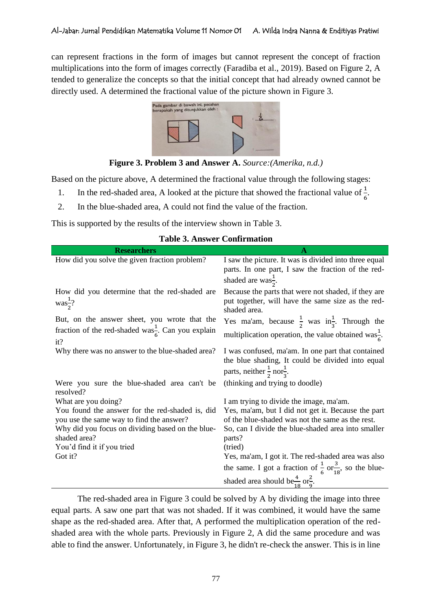can represent fractions in the form of images but cannot represent the concept of fraction multiplications into the form of images correctly (Faradiba et al., 2019). Based on Figure 2, A tended to generalize the concepts so that the initial concept that had already owned cannot be directly used. A determined the fractional value of the picture shown in Figure 3.



**Figure 3. Problem 3 and Answer A.** *Source:(Amerika, n.d.)*

Based on the picture above, A determined the fractional value through the following stages:

- 1. In the red-shaded area, A looked at the picture that showed the fractional value of  $\frac{1}{6}$ .
- 2. In the blue-shaded area, A could not find the value of the fraction.

This is supported by the results of the interview shown in Table 3.

| <b>Researchers</b>                                                                          |                                                                                                                                                           |
|---------------------------------------------------------------------------------------------|-----------------------------------------------------------------------------------------------------------------------------------------------------------|
| How did you solve the given fraction problem?                                               | I saw the picture. It was is divided into three equal<br>parts. In one part, I saw the fraction of the red-                                               |
|                                                                                             | shaded are was $\frac{1}{2}$ .                                                                                                                            |
| How did you determine that the red-shaded are<br>$\text{was}^{\frac{1}{2}}$ ?               | Because the parts that were not shaded, if they are<br>put together, will have the same size as the red-<br>shaded area.                                  |
| But, on the answer sheet, you wrote that the                                                | Yes ma'am, because $\frac{1}{2}$ was in <sup>1</sup> / <sub>3</sub> . Through the                                                                         |
| fraction of the red-shaded was <sup>1</sup> / <sub>6</sub> . Can you explain<br>it?         | multiplication operation, the value obtained was $\frac{1}{6}$ .                                                                                          |
| Why there was no answer to the blue-shaded area?                                            | I was confused, ma'am. In one part that contained<br>the blue shading, It could be divided into equal<br>parts, neither $\frac{1}{2}$ nor $\frac{1}{3}$ . |
| Were you sure the blue-shaded area can't be<br>resolved?                                    | (thinking and trying to doodle)                                                                                                                           |
| What are you doing?                                                                         | I am trying to divide the image, ma'am.                                                                                                                   |
| You found the answer for the red-shaded is, did<br>you use the same way to find the answer? | Yes, ma'am, but I did not get it. Because the part<br>of the blue-shaded was not the same as the rest.                                                    |
| Why did you focus on dividing based on the blue-<br>shaded area?                            | So, can I divide the blue-shaded area into smaller<br>parts?                                                                                              |
| You'd find it if you tried                                                                  | (tried)                                                                                                                                                   |
| Got it?                                                                                     | Yes, ma'am, I got it. The red-shaded area was also                                                                                                        |
|                                                                                             | the same. I got a fraction of $\frac{1}{6}$ or $\frac{3}{18}$ , so the blue-                                                                              |
|                                                                                             | shaded area should be $\frac{4}{18}$ or $\frac{2}{9}$ .                                                                                                   |

## **Table 3. Answer Confirmation**

The red-shaded area in Figure 3 could be solved by A by dividing the image into three equal parts. A saw one part that was not shaded. If it was combined, it would have the same shape as the red-shaded area. After that, A performed the multiplication operation of the redshaded area with the whole parts. Previously in Figure 2, A did the same procedure and was able to find the answer. Unfortunately, in Figure 3, he didn't re-check the answer. This is in line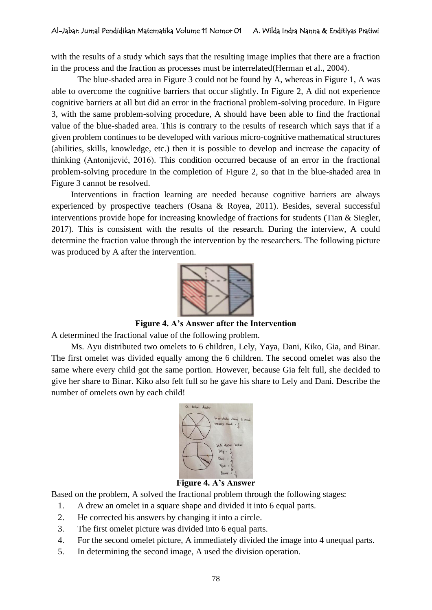with the results of a study which says that the resulting image implies that there are a fraction in the process and the fraction as processes must be interrelated(Herman et al., 2004).

The blue-shaded area in Figure 3 could not be found by A, whereas in Figure 1, A was able to overcome the cognitive barriers that occur slightly. In Figure 2, A did not experience cognitive barriers at all but did an error in the fractional problem-solving procedure. In Figure 3, with the same problem-solving procedure, A should have been able to find the fractional value of the blue-shaded area. This is contrary to the results of research which says that if a given problem continues to be developed with various micro-cognitive mathematical structures (abilities, skills, knowledge, etc.) then it is possible to develop and increase the capacity of thinking (Antonijević, 2016). This condition occurred because of an error in the fractional problem-solving procedure in the completion of Figure 2, so that in the blue-shaded area in Figure 3 cannot be resolved.

Interventions in fraction learning are needed because cognitive barriers are always experienced by prospective teachers (Osana & Royea, 2011). Besides, several successful interventions provide hope for increasing knowledge of fractions for students (Tian & Siegler, 2017). This is consistent with the results of the research. During the interview, A could determine the fraction value through the intervention by the researchers. The following picture was produced by A after the intervention.



**Figure 4. A's Answer after the Intervention**

A determined the fractional value of the following problem.

Ms. Ayu distributed two omelets to 6 children, Lely, Yaya, Dani, Kiko, Gia, and Binar. The first omelet was divided equally among the 6 children. The second omelet was also the same where every child got the same portion. However, because Gia felt full, she decided to give her share to Binar. Kiko also felt full so he gave his share to Lely and Dani. Describe the number of omelets own by each child!



# **Figure 4. A's Answer**

Based on the problem, A solved the fractional problem through the following stages:

- 1. A drew an omelet in a square shape and divided it into 6 equal parts.
- 2. He corrected his answers by changing it into a circle.
- 3. The first omelet picture was divided into 6 equal parts.
- 4. For the second omelet picture, A immediately divided the image into 4 unequal parts.
- 5. In determining the second image, A used the division operation.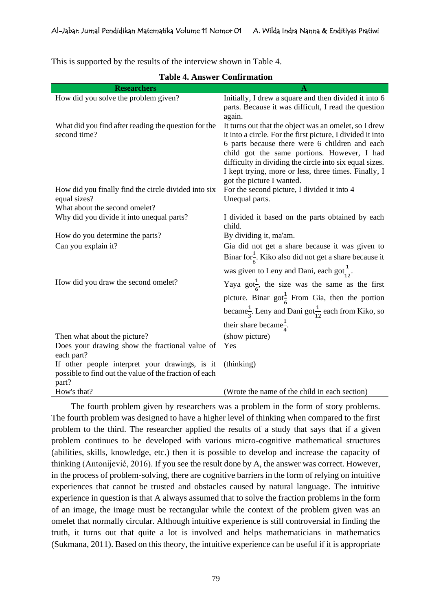This is supported by the results of the interview shown in Table 4.

| <b>Researchers</b>                                                                                       | A                                                                                                                   |
|----------------------------------------------------------------------------------------------------------|---------------------------------------------------------------------------------------------------------------------|
| How did you solve the problem given?                                                                     | Initially, I drew a square and then divided it into 6                                                               |
|                                                                                                          | parts. Because it was difficult, I read the question                                                                |
|                                                                                                          | again.                                                                                                              |
| What did you find after reading the question for the<br>second time?                                     | It turns out that the object was an omelet, so I drew<br>it into a circle. For the first picture, I divided it into |
|                                                                                                          | 6 parts because there were 6 children and each                                                                      |
|                                                                                                          | child got the same portions. However, I had                                                                         |
|                                                                                                          | difficulty in dividing the circle into six equal sizes.                                                             |
|                                                                                                          | I kept trying, more or less, three times. Finally, I                                                                |
| How did you finally find the circle divided into six                                                     | got the picture I wanted.<br>For the second picture, I divided it into 4                                            |
| equal sizes?                                                                                             | Unequal parts.                                                                                                      |
| What about the second omelet?                                                                            |                                                                                                                     |
| Why did you divide it into unequal parts?                                                                | I divided it based on the parts obtained by each                                                                    |
|                                                                                                          | child.                                                                                                              |
| How do you determine the parts?                                                                          | By dividing it, ma'am.                                                                                              |
| Can you explain it?                                                                                      | Gia did not get a share because it was given to                                                                     |
|                                                                                                          | Binar for $\frac{1}{6}$ . Kiko also did not get a share because it                                                  |
|                                                                                                          | was given to Leny and Dani, each got $\frac{1}{12}$ .                                                               |
| How did you draw the second omelet?                                                                      | Yaya got <sup>1</sup> / <sub>6</sub> , the size was the same as the first                                           |
|                                                                                                          | picture. Binar got <sup>1</sup> / <sub>6</sub> From Gia, then the portion                                           |
|                                                                                                          | became <sup>1</sup> / <sub>3</sub> . Leny and Dani got <sup>1</sup> <sub>12</sub> each from Kiko, so                |
|                                                                                                          | their share became $\frac{1}{4}$ .                                                                                  |
| Then what about the picture?                                                                             | (show picture)                                                                                                      |
| Does your drawing show the fractional value of                                                           | Yes                                                                                                                 |
| each part?                                                                                               |                                                                                                                     |
| If other people interpret your drawings, is it<br>possible to find out the value of the fraction of each | (thinking)                                                                                                          |
| part?                                                                                                    |                                                                                                                     |
| How's that?                                                                                              | (Wrote the name of the child in each section)                                                                       |

**Table 4. Answer Confirmation**

The fourth problem given by researchers was a problem in the form of story problems. The fourth problem was designed to have a higher level of thinking when compared to the first problem to the third. The researcher applied the results of a study that says that if a given problem continues to be developed with various micro-cognitive mathematical structures (abilities, skills, knowledge, etc.) then it is possible to develop and increase the capacity of thinking (Antonijević, 2016). If you see the result done by A, the answer was correct. However, in the process of problem-solving, there are cognitive barriers in the form of relying on intuitive experiences that cannot be trusted and obstacles caused by natural language. The intuitive experience in question is that A always assumed that to solve the fraction problems in the form of an image, the image must be rectangular while the context of the problem given was an omelet that normally circular. Although intuitive experience is still controversial in finding the truth, it turns out that quite a lot is involved and helps mathematicians in mathematics (Sukmana, 2011). Based on this theory, the intuitive experience can be useful if it is appropriate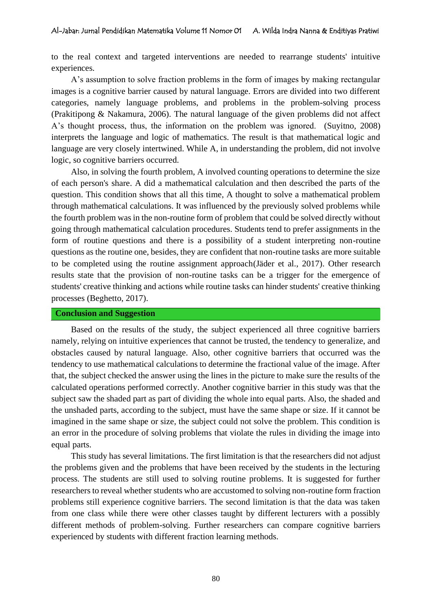to the real context and targeted interventions are needed to rearrange students' intuitive experiences.

A's assumption to solve fraction problems in the form of images by making rectangular images is a cognitive barrier caused by natural language. Errors are divided into two different categories, namely language problems, and problems in the problem-solving process (Prakitipong & Nakamura, 2006). The natural language of the given problems did not affect A's thought process, thus, the information on the problem was ignored. (Suyitno, 2008) interprets the language and logic of mathematics. The result is that mathematical logic and language are very closely intertwined. While A, in understanding the problem, did not involve logic, so cognitive barriers occurred.

Also, in solving the fourth problem, A involved counting operations to determine the size of each person's share. A did a mathematical calculation and then described the parts of the question. This condition shows that all this time, A thought to solve a mathematical problem through mathematical calculations. It was influenced by the previously solved problems while the fourth problem was in the non-routine form of problem that could be solved directly without going through mathematical calculation procedures. Students tend to prefer assignments in the form of routine questions and there is a possibility of a student interpreting non-routine questions as the routine one, besides, they are confident that non-routine tasks are more suitable to be completed using the routine assignment approach(Jäder et al., 2017). Other research results state that the provision of non-routine tasks can be a trigger for the emergence of students' creative thinking and actions while routine tasks can hinder students' creative thinking processes (Beghetto, 2017).

## **Conclusion and Suggestion**

Based on the results of the study, the subject experienced all three cognitive barriers namely, relying on intuitive experiences that cannot be trusted, the tendency to generalize, and obstacles caused by natural language. Also, other cognitive barriers that occurred was the tendency to use mathematical calculations to determine the fractional value of the image. After that, the subject checked the answer using the lines in the picture to make sure the results of the calculated operations performed correctly. Another cognitive barrier in this study was that the subject saw the shaded part as part of dividing the whole into equal parts. Also, the shaded and the unshaded parts, according to the subject, must have the same shape or size. If it cannot be imagined in the same shape or size, the subject could not solve the problem. This condition is an error in the procedure of solving problems that violate the rules in dividing the image into equal parts.

This study has several limitations. The first limitation is that the researchers did not adjust the problems given and the problems that have been received by the students in the lecturing process. The students are still used to solving routine problems. It is suggested for further researchers to reveal whether students who are accustomed to solving non-routine form fraction problems still experience cognitive barriers. The second limitation is that the data was taken from one class while there were other classes taught by different lecturers with a possibly different methods of problem-solving. Further researchers can compare cognitive barriers experienced by students with different fraction learning methods.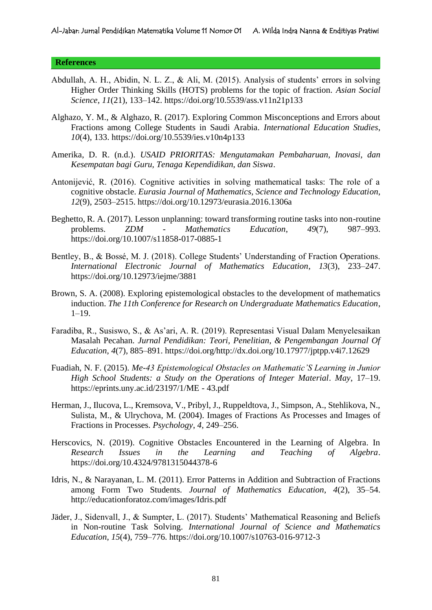### **References**

- Abdullah, A. H., Abidin, N. L. Z., & Ali, M. (2015). Analysis of students' errors in solving Higher Order Thinking Skills (HOTS) problems for the topic of fraction. *Asian Social Science*, *11*(21), 133–142. https://doi.org/10.5539/ass.v11n21p133
- Alghazo, Y. M., & Alghazo, R. (2017). Exploring Common Misconceptions and Errors about Fractions among College Students in Saudi Arabia. *International Education Studies*, *10*(4), 133. https://doi.org/10.5539/ies.v10n4p133
- Amerika, D. R. (n.d.). *USAID PRIORITAS: Mengutamakan Pembaharuan, Inovasi, dan Kesempatan bagi Guru, Tenaga Kependidikan, dan Siswa*.
- Antonijević, R. (2016). Cognitive activities in solving mathematical tasks: The role of a cognitive obstacle. *Eurasia Journal of Mathematics, Science and Technology Education*, *12*(9), 2503–2515. https://doi.org/10.12973/eurasia.2016.1306a
- Beghetto, R. A. (2017). Lesson unplanning: toward transforming routine tasks into non-routine problems. *ZDM - Mathematics Education*, *49*(7), 987–993. https://doi.org/10.1007/s11858-017-0885-1
- Bentley, B., & Bossé, M. J. (2018). College Students' Understanding of Fraction Operations. *International Electronic Journal of Mathematics Education*, *13*(3), 233–247. https://doi.org/10.12973/iejme/3881
- Brown, S. A. (2008). Exploring epistemological obstacles to the development of mathematics induction. *The 11th Conference for Research on Undergraduate Mathematics Education*, 1–19.
- Faradiba, R., Susiswo, S., & As'ari, A. R. (2019). Representasi Visual Dalam Menyelesaikan Masalah Pecahan. *Jurnal Pendidikan: Teori, Penelitian, & Pengembangan Journal Of Education*, *4*(7), 885–891. https://doi.org/http://dx.doi.org/10.17977/jptpp.v4i7.12629
- Fuadiah, N. F. (2015). *Me-43 Epistemological Obstacles on Mathematic'S Learning in Junior High School Students: a Study on the Operations of Integer Material*. *May*, 17–19. https://eprints.uny.ac.id/23197/1/ME - 43.pdf
- Herman, J., Ilucova, L., Kremsova, V., Pribyl, J., Ruppeldtova, J., Simpson, A., Stehlikova, N., Sulista, M., & Ulrychova, M. (2004). Images of Fractions As Processes and Images of Fractions in Processes. *Psychology*, *4*, 249–256.
- Herscovics, N. (2019). Cognitive Obstacles Encountered in the Learning of Algebra. In *Research Issues in the Learning and Teaching of Algebra*. https://doi.org/10.4324/9781315044378-6
- Idris, N., & Narayanan, L. M. (2011). Error Patterns in Addition and Subtraction of Fractions among Form Two Students. *Journal of Mathematics Education*, *4*(2), 35–54. http://educationforatoz.com/images/Idris.pdf
- Jäder, J., Sidenvall, J., & Sumpter, L. (2017). Students' Mathematical Reasoning and Beliefs in Non-routine Task Solving. *International Journal of Science and Mathematics Education*, *15*(4), 759–776. https://doi.org/10.1007/s10763-016-9712-3